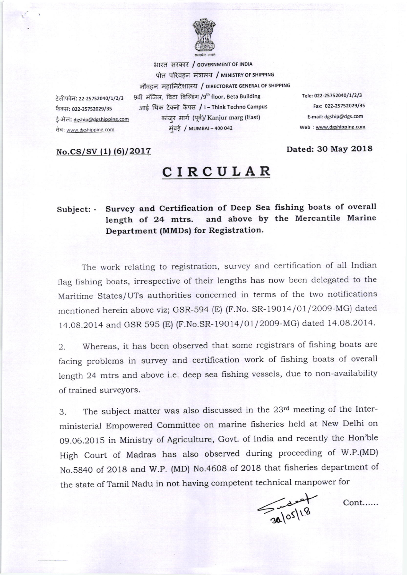

आरत सरकार / GOVERNMENT OF INDIA पोत परिवहन मंत्रालय / MINISTRY OF SHIPPING नौवहन महानिदेशालय / DIRECTORATE GENERAL OF SHIPPING 9वीं मंजिल, बिटा बिल्डिंग /9th floor, Beta Building आई थिंक टेक्नो कैंपस / I - Think Techno Campus कांजर मार्ग (पूर्व)/ Kanjur marg (East) ई-मेल: dgship@dgshipping.com मंबई / MUMBAI-400 042

Tele: 022-25752040/1/2/3 Fax: 022-25752029/35 E-mail: dgship@dgs.com Web: www.dgshipping.com

Dated: 30 May 2018

No.CS/SV (1) (6)/2017

टेलीफोन: 22-25752040/1/2/3

फैक्स: 022-25752029/35

वेब: www.dgshipping.com

## CIRCULAR

## Subject: - Survey and Certification of Deep Sea fishing boats of overall and above by the Mercantile Marine length of 24 mtrs. Department (MMDs) for Registration.

The work relating to registration, survey and certification of all Indian flag fishing boats, irrespective of their lengths has now been delegated to the Maritime States/UTs authorities concerned in terms of the two notifications mentioned herein above viz; GSR-594 (E) (F.No. SR-19014/01/2009-MG) dated 14.08.2014 and GSR 595 (E) (F.No.SR-19014/01/2009-MG) dated 14.08.2014.

Whereas, it has been observed that some registrars of fishing boats are 2. facing problems in survey and certification work of fishing boats of overall length 24 mtrs and above i.e. deep sea fishing vessels, due to non-availability of trained surveyors.

The subject matter was also discussed in the 23rd meeting of the Inter-3. ministerial Empowered Committee on marine fisheries held at New Delhi on 09.06.2015 in Ministry of Agriculture, Govt. of India and recently the Hon'ble High Court of Madras has also observed during proceeding of W.P.(MD) No.5840 of 2018 and W.P. (MD) No.4608 of 2018 that fisheries department of the state of Tamil Nadu in not having competent technical manpower for

 $\frac{1}{24105/18}$ 

Cont......